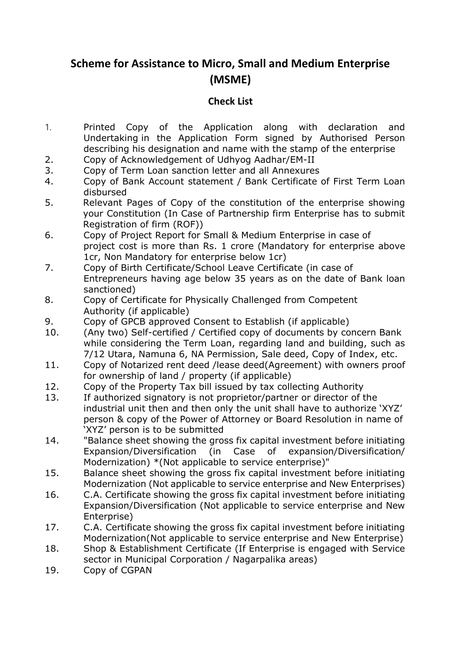## **Scheme for Assistance to Micro, Small and Medium Enterprise (MSME)**

## **Check List**

- 1. Printed Copy of the Application along with declaration and Undertaking in the Application Form signed by Authorised Person describing his designation and name with the stamp of the enterprise
- 2. Copy of Acknowledgement of Udhyog Aadhar/EM-II
- 3. Copy of Term Loan sanction letter and all Annexures
- 4. Copy of Bank Account statement / Bank Certificate of First Term Loan disbursed
- 5. Relevant Pages of Copy of the constitution of the enterprise showing your Constitution (In Case of Partnership firm Enterprise has to submit Registration of firm (ROF))
- 6. Copy of Project Report for Small & Medium Enterprise in case of project cost is more than Rs. 1 crore (Mandatory for enterprise above 1cr, Non Mandatory for enterprise below 1cr)
- 7. Copy of Birth Certificate/School Leave Certificate (in case of Entrepreneurs having age below 35 years as on the date of Bank loan sanctioned)
- 8. Copy of Certificate for Physically Challenged from Competent Authority (if applicable)
- 9. Copy of GPCB approved Consent to Establish (if applicable)
- 10. (Any two) Self-certified / Certified copy of documents by concern Bank while considering the Term Loan, regarding land and building, such as 7/12 Utara, Namuna 6, NA Permission, Sale deed, Copy of Index, etc.
- 11. Copy of Notarized rent deed /lease deed(Agreement) with owners proof for ownership of land / property (if applicable)
- 12. Copy of the Property Tax bill issued by tax collecting Authority
- 13. If authorized signatory is not proprietor/partner or director of the industrial unit then and then only the unit shall have to authorize 'XYZ' person & copy of the Power of Attorney or Board Resolution in name of 'XYZ' person is to be submitted
- 14. "Balance sheet showing the gross fix capital investment before initiating Expansion/Diversification (in Case of expansion/Diversification/ Modernization) \*(Not applicable to service enterprise)"
- 15. Balance sheet showing the gross fix capital investment before initiating Modernization (Not applicable to service enterprise and New Enterprises)
- 16. C.A. Certificate showing the gross fix capital investment before initiating Expansion/Diversification (Not applicable to service enterprise and New Enterprise)
- 17. C.A. Certificate showing the gross fix capital investment before initiating Modernization(Not applicable to service enterprise and New Enterprise)
- [18.](http://18.ca/) Shop & Establishment Certificate (If Enterprise is engaged with Service sector in Municipal Corporation / Nagarpalika areas)
- 19. Copy of CGPAN